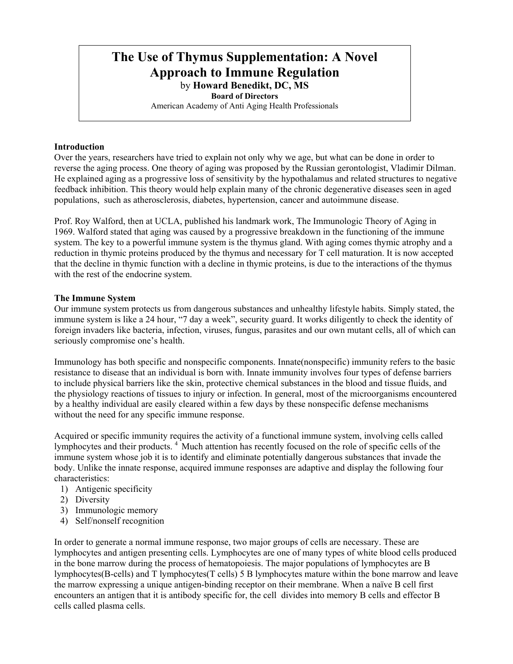# **The Use of Thymus Supplementation: A Novel Approach to Immune Regulation**  by **Howard Benedikt, DC, MS**

**Board of Directors** 

American Academy of Anti Aging Health Professionals

## **Introduction**

Over the years, researchers have tried to explain not only why we age, but what can be done in order to reverse the aging process. One theory of aging was proposed by the Russian gerontologist, Vladimir Dilman. He explained aging as a progressive loss of sensitivity by the hypothalamus and related structures to negative feedback inhibition. This theory would help explain many of the chronic degenerative diseases seen in aged populations, such as atherosclerosis, diabetes, hypertension, cancer and autoimmune disease.

Prof. Roy Walford, then at UCLA, published his landmark work, The Immunologic Theory of Aging in 1969. Walford stated that aging was caused by a progressive breakdown in the functioning of the immune system. The key to a powerful immune system is the thymus gland. With aging comes thymic atrophy and a reduction in thymic proteins produced by the thymus and necessary for T cell maturation. It is now accepted that the decline in thymic function with a decline in thymic proteins, is due to the interactions of the thymus with the rest of the endocrine system.

## **The Immune System**

Our immune system protects us from dangerous substances and unhealthy lifestyle habits. Simply stated, the immune system is like a 24 hour, "7 day a week", security guard. It works diligently to check the identity of foreign invaders like bacteria, infection, viruses, fungus, parasites and our own mutant cells, all of which can seriously compromise one's health.

Immunology has both specific and nonspecific components. Innate(nonspecific) immunity refers to the basic resistance to disease that an individual is born with. Innate immunity involves four types of defense barriers to include physical barriers like the skin, protective chemical substances in the blood and tissue fluids, and the physiology reactions of tissues to injury or infection. In general, most of the microorganisms encountered by a healthy individual are easily cleared within a few days by these nonspecific defense mechanisms without the need for any specific immune response.

Acquired or specific immunity requires the activity of a functional immune system, involving cells called lymphocytes and their products. 4 Much attention has recently focused on the role of specific cells of the immune system whose job it is to identify and eliminate potentially dangerous substances that invade the body. Unlike the innate response, acquired immune responses are adaptive and display the following four characteristics:

- 1) Antigenic specificity
- 2) Diversity
- 3) Immunologic memory
- 4) Self/nonself recognition

In order to generate a normal immune response, two major groups of cells are necessary. These are lymphocytes and antigen presenting cells. Lymphocytes are one of many types of white blood cells produced in the bone marrow during the process of hematopoiesis. The major populations of lymphocytes are B lymphocytes(B-cells) and T lymphocytes(T cells) 5 B lymphocytes mature within the bone marrow and leave the marrow expressing a unique antigen-binding receptor on their membrane. When a naïve B cell first encounters an antigen that it is antibody specific for, the cell divides into memory B cells and effector B cells called plasma cells.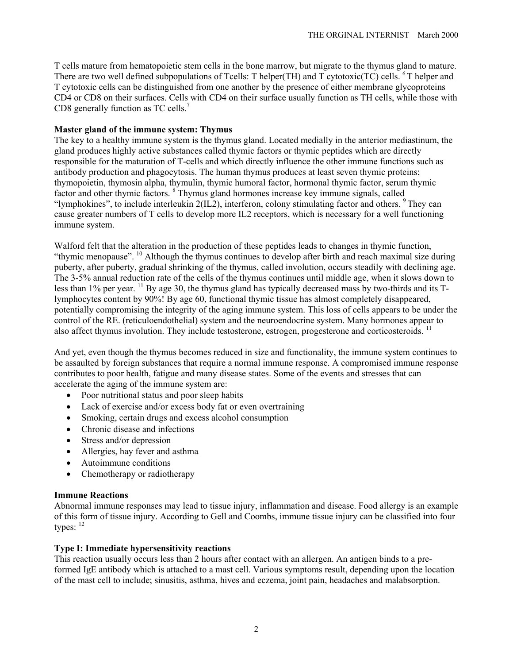T cells mature from hematopoietic stem cells in the bone marrow, but migrate to the thymus gland to mature. There are two well defined subpopulations of Tcells: T helper(TH) and T cytotoxic(TC) cells. <sup>6</sup> T helper and T cytotoxic cells can be distinguished from one another by the presence of either membrane glycoproteins CD4 or CD8 on their surfaces. Cells with CD4 on their surface usually function as TH cells, while those with CD8 generally function as TC cells.<sup>7</sup>

## **Master gland of the immune system: Thymus**

The key to a healthy immune system is the thymus gland. Located medially in the anterior mediastinum, the gland produces highly active substances called thymic factors or thymic peptides which are directly responsible for the maturation of T-cells and which directly influence the other immune functions such as antibody production and phagocytosis. The human thymus produces at least seven thymic proteins; thymopoietin, thymosin alpha, thymulin, thymic humoral factor, hormonal thymic factor, serum thymic factor and other thymic factors. <sup>8</sup> Thymus gland hormones increase key immune signals, called "lymphokines", to include interleukin 2(IL2), interferon, colony stimulating factor and others. <sup>9</sup> They can cause greater numbers of T cells to develop more IL2 receptors, which is necessary for a well functioning immune system.

Walford felt that the alteration in the production of these peptides leads to changes in thymic function, "thymic menopause". 10 Although the thymus continues to develop after birth and reach maximal size during puberty, after puberty, gradual shrinking of the thymus, called involution, occurs steadily with declining age. The 3-5% annual reduction rate of the cells of the thymus continues until middle age, when it slows down to less than 1% per year. <sup>11</sup> By age 30, the thymus gland has typically decreased mass by two-thirds and its Tlymphocytes content by 90%! By age 60, functional thymic tissue has almost completely disappeared, potentially compromising the integrity of the aging immune system. This loss of cells appears to be under the control of the RE. (reticuloendothelial) system and the neuroendocrine system. Many hormones appear to also affect thymus involution. They include testosterone, estrogen, progesterone and corticosteroids. <sup>11</sup>

And yet, even though the thymus becomes reduced in size and functionality, the immune system continues to be assaulted by foreign substances that require a normal immune response. A compromised immune response contributes to poor health, fatigue and many disease states. Some of the events and stresses that can accelerate the aging of the immune system are:

- Poor nutritional status and poor sleep habits
- Lack of exercise and/or excess body fat or even overtraining
- Smoking, certain drugs and excess alcohol consumption
- Chronic disease and infections
- Stress and/or depression
- Allergies, hay fever and asthma
- Autoimmune conditions
- Chemotherapy or radiotherapy

## **Immune Reactions**

Abnormal immune responses may lead to tissue injury, inflammation and disease. Food allergy is an example of this form of tissue injury. According to Gell and Coombs, immune tissue injury can be classified into four types:  $12$ 

## **Type I: Immediate hypersensitivity reactions**

This reaction usually occurs less than 2 hours after contact with an allergen. An antigen binds to a preformed IgE antibody which is attached to a mast cell. Various symptoms result, depending upon the location of the mast cell to include; sinusitis, asthma, hives and eczema, joint pain, headaches and malabsorption.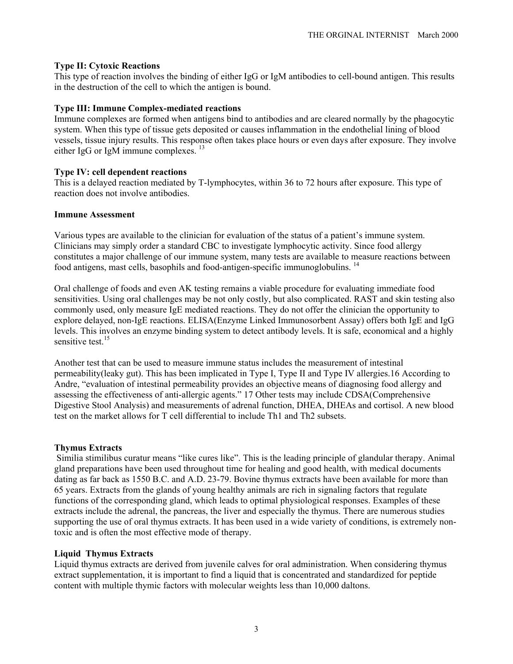## **Type II: Cytoxic Reactions**

This type of reaction involves the binding of either IgG or IgM antibodies to cell-bound antigen. This results in the destruction of the cell to which the antigen is bound.

## **Type III: Immune Complex-mediated reactions**

Immune complexes are formed when antigens bind to antibodies and are cleared normally by the phagocytic system. When this type of tissue gets deposited or causes inflammation in the endothelial lining of blood vessels, tissue injury results. This response often takes place hours or even days after exposure. They involve either IgG or IgM immune complexes.<sup>13</sup>

## **Type IV: cell dependent reactions**

This is a delayed reaction mediated by T-lymphocytes, within 36 to 72 hours after exposure. This type of reaction does not involve antibodies.

## **Immune Assessment**

Various types are available to the clinician for evaluation of the status of a patient's immune system. Clinicians may simply order a standard CBC to investigate lymphocytic activity. Since food allergy constitutes a major challenge of our immune system, many tests are available to measure reactions between food antigens, mast cells, basophils and food-antigen-specific immunoglobulins.<sup>14</sup>

Oral challenge of foods and even AK testing remains a viable procedure for evaluating immediate food sensitivities. Using oral challenges may be not only costly, but also complicated. RAST and skin testing also commonly used, only measure IgE mediated reactions. They do not offer the clinician the opportunity to explore delayed, non-IgE reactions. ELISA(Enzyme Linked Immunosorbent Assay) offers both IgE and IgG levels. This involves an enzyme binding system to detect antibody levels. It is safe, economical and a highly sensitive test. $15$ 

Another test that can be used to measure immune status includes the measurement of intestinal permeability(leaky gut). This has been implicated in Type I, Type II and Type IV allergies.16 According to Andre, "evaluation of intestinal permeability provides an objective means of diagnosing food allergy and assessing the effectiveness of anti-allergic agents." 17 Other tests may include CDSA(Comprehensive Digestive Stool Analysis) and measurements of adrenal function, DHEA, DHEAs and cortisol. A new blood test on the market allows for T cell differential to include Th1 and Th2 subsets.

## **Thymus Extracts**

 Similia stimilibus curatur means "like cures like". This is the leading principle of glandular therapy. Animal gland preparations have been used throughout time for healing and good health, with medical documents dating as far back as 1550 B.C. and A.D. 23-79. Bovine thymus extracts have been available for more than 65 years. Extracts from the glands of young healthy animals are rich in signaling factors that regulate functions of the corresponding gland, which leads to optimal physiological responses. Examples of these extracts include the adrenal, the pancreas, the liver and especially the thymus. There are numerous studies supporting the use of oral thymus extracts. It has been used in a wide variety of conditions, is extremely nontoxic and is often the most effective mode of therapy.

## **Liquid Thymus Extracts**

Liquid thymus extracts are derived from juvenile calves for oral administration. When considering thymus extract supplementation, it is important to find a liquid that is concentrated and standardized for peptide content with multiple thymic factors with molecular weights less than 10,000 daltons.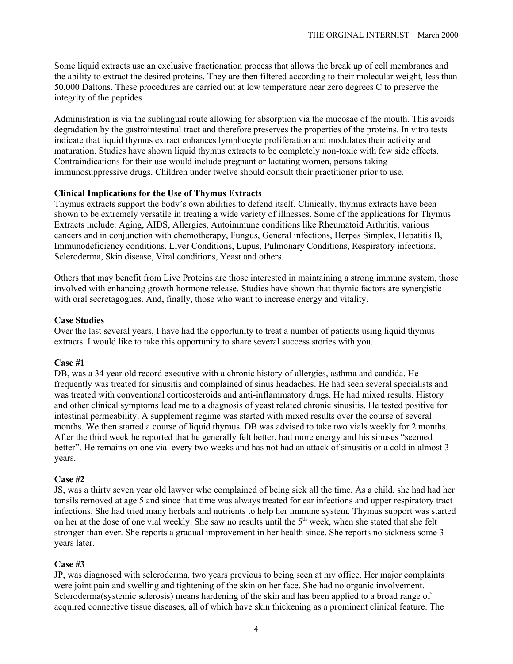Some liquid extracts use an exclusive fractionation process that allows the break up of cell membranes and the ability to extract the desired proteins. They are then filtered according to their molecular weight, less than 50,000 Daltons. These procedures are carried out at low temperature near zero degrees C to preserve the integrity of the peptides.

Administration is via the sublingual route allowing for absorption via the mucosae of the mouth. This avoids degradation by the gastrointestinal tract and therefore preserves the properties of the proteins. In vitro tests indicate that liquid thymus extract enhances lymphocyte proliferation and modulates their activity and maturation. Studies have shown liquid thymus extracts to be completely non-toxic with few side effects. Contraindications for their use would include pregnant or lactating women, persons taking immunosuppressive drugs. Children under twelve should consult their practitioner prior to use.

## **Clinical Implications for the Use of Thymus Extracts**

Thymus extracts support the body's own abilities to defend itself. Clinically, thymus extracts have been shown to be extremely versatile in treating a wide variety of illnesses. Some of the applications for Thymus Extracts include: Aging, AIDS, Allergies, Autoimmune conditions like Rheumatoid Arthritis, various cancers and in conjunction with chemotherapy, Fungus, General infections, Herpes Simplex, Hepatitis B, Immunodeficiency conditions, Liver Conditions, Lupus, Pulmonary Conditions, Respiratory infections, Scleroderma, Skin disease, Viral conditions, Yeast and others.

Others that may benefit from Live Proteins are those interested in maintaining a strong immune system, those involved with enhancing growth hormone release. Studies have shown that thymic factors are synergistic with oral secretagogues. And, finally, those who want to increase energy and vitality.

#### **Case Studies**

Over the last several years, I have had the opportunity to treat a number of patients using liquid thymus extracts. I would like to take this opportunity to share several success stories with you.

#### **Case #1**

DB, was a 34 year old record executive with a chronic history of allergies, asthma and candida. He frequently was treated for sinusitis and complained of sinus headaches. He had seen several specialists and was treated with conventional corticosteroids and anti-inflammatory drugs. He had mixed results. History and other clinical symptoms lead me to a diagnosis of yeast related chronic sinusitis. He tested positive for intestinal permeability. A supplement regime was started with mixed results over the course of several months. We then started a course of liquid thymus. DB was advised to take two vials weekly for 2 months. After the third week he reported that he generally felt better, had more energy and his sinuses "seemed better". He remains on one vial every two weeks and has not had an attack of sinusitis or a cold in almost 3 years.

## **Case #2**

JS, was a thirty seven year old lawyer who complained of being sick all the time. As a child, she had had her tonsils removed at age 5 and since that time was always treated for ear infections and upper respiratory tract infections. She had tried many herbals and nutrients to help her immune system. Thymus support was started on her at the dose of one vial weekly. She saw no results until the 5<sup>th</sup> week, when she stated that she felt stronger than ever. She reports a gradual improvement in her health since. She reports no sickness some 3 years later.

#### **Case #3**

JP, was diagnosed with scleroderma, two years previous to being seen at my office. Her major complaints were joint pain and swelling and tightening of the skin on her face. She had no organic involvement. Scleroderma(systemic sclerosis) means hardening of the skin and has been applied to a broad range of acquired connective tissue diseases, all of which have skin thickening as a prominent clinical feature. The